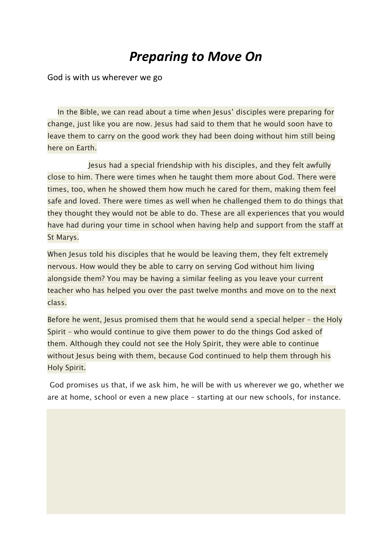## *Preparing to Move On*

God is with us wherever we go

In the Bible, we can read about a time when Jesus' disciples were preparing for change, just like you are now. Jesus had said to them that he would soon have to leave them to carry on the good work they had been doing without him still being here on Earth.

Jesus had a special friendship with his disciples, and they felt awfully close to him. There were times when he taught them more about God. There were times, too, when he showed them how much he cared for them, making them feel safe and loved. There were times as well when he challenged them to do things that they thought they would not be able to do. These are all experiences that you would have had during your time in school when having help and support from the staff at St Marys.

When Jesus told his disciples that he would be leaving them, they felt extremely nervous. How would they be able to carry on serving God without him living alongside them? You may be having a similar feeling as you leave your current teacher who has helped you over the past twelve months and move on to the next class.

Before he went, Jesus promised them that he would send a special helper – the Holy Spirit – who would continue to give them power to do the things God asked of them. Although they could not see the Holy Spirit, they were able to continue without Jesus being with them, because God continued to help them through his Holy Spirit.

God promises us that, if we ask him, he will be with us wherever we go, whether we are at home, school or even a new place – starting at our new schools, for instance.